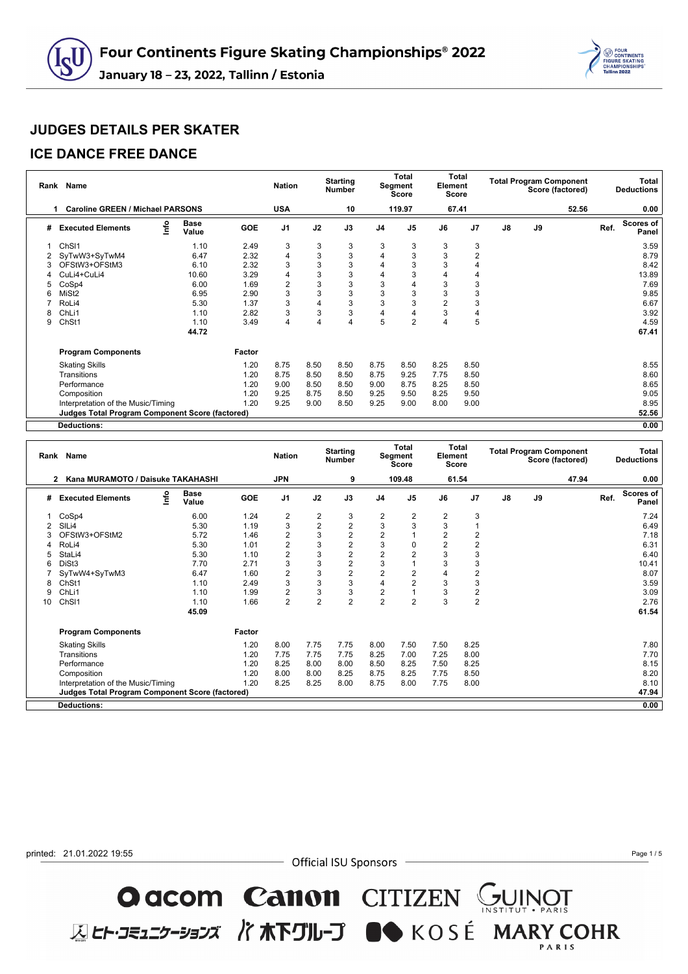

#### **ICE DANCE FREE DANCE**

al.

|   | Rank Name                                              |                      |        | <b>Nation</b>  |                | <b>Starting</b><br><b>Number</b> |                | <b>Total</b><br>Segment<br><b>Score</b> | Element        | <b>Total</b><br><b>Score</b> |    |    | <b>Total Program Component</b><br>Score (factored) |      | Total<br><b>Deductions</b> |
|---|--------------------------------------------------------|----------------------|--------|----------------|----------------|----------------------------------|----------------|-----------------------------------------|----------------|------------------------------|----|----|----------------------------------------------------|------|----------------------------|
|   | <b>Caroline GREEN / Michael PARSONS</b>                |                      |        | <b>USA</b>     |                | 10                               |                | 119.97                                  |                | 67.41                        |    |    | 52.56                                              |      | 0.00                       |
| # | <u>info</u><br><b>Executed Elements</b>                | <b>Base</b><br>Value | GOE    | J <sub>1</sub> | J2             | J3                               | J <sub>4</sub> | J <sub>5</sub>                          | J6             | J <sub>7</sub>               | J8 | J9 |                                                    | Ref. | Scores of<br>Panel         |
|   | ChS <sub>11</sub>                                      | 1.10                 | 2.49   | 3              | 3              | 3                                | 3              | 3                                       | 3              | 3                            |    |    |                                                    |      | 3.59                       |
|   | SyTwW3+SyTwM4                                          | 6.47                 | 2.32   | 4              | 3              | 3                                | 4              | 3                                       | 3              | 2                            |    |    |                                                    |      | 8.79                       |
|   | OFStW3+OFStM3                                          | 6.10                 | 2.32   | 3              | 3              | 3                                | 4              | 3                                       | 3              | 4                            |    |    |                                                    |      | 8.42                       |
|   | CuLi4+CuLi4                                            | 10.60                | 3.29   | $\overline{4}$ | 3              | 3                                | 4              | 3                                       |                | 4                            |    |    |                                                    |      | 13.89                      |
| 5 | CoSp4                                                  | 6.00                 | 1.69   | $\overline{2}$ | 3              | 3                                | 3              | 4                                       | 3              | 3                            |    |    |                                                    |      | 7.69                       |
| 6 | MiSt <sub>2</sub>                                      | 6.95                 | 2.90   | 3              | 3              | 3                                | 3              | 3                                       | 3              | 3                            |    |    |                                                    |      | 9.85                       |
|   | RoLi4                                                  | 5.30                 | 1.37   | 3              | $\overline{4}$ | 3                                | 3              | 3                                       | $\overline{2}$ | 3                            |    |    |                                                    |      | 6.67                       |
| 8 | ChL <sub>i1</sub>                                      | 1.10                 | 2.82   | 3              | 3              | 3                                | 4              | 4                                       | 3              | 4                            |    |    |                                                    |      | 3.92                       |
| 9 | ChSt1                                                  | 1.10                 | 3.49   | 4              | $\overline{4}$ | 4                                | 5              | $\overline{2}$                          | 4              | 5                            |    |    |                                                    |      | 4.59                       |
|   |                                                        | 44.72                |        |                |                |                                  |                |                                         |                |                              |    |    |                                                    |      | 67.41                      |
|   | <b>Program Components</b>                              |                      | Factor |                |                |                                  |                |                                         |                |                              |    |    |                                                    |      |                            |
|   | <b>Skating Skills</b>                                  |                      | 1.20   | 8.75           | 8.50           | 8.50                             | 8.75           | 8.50                                    | 8.25           | 8.50                         |    |    |                                                    |      | 8.55                       |
|   | Transitions                                            |                      | 1.20   | 8.75           | 8.50           | 8.50                             | 8.75           | 9.25                                    | 7.75           | 8.50                         |    |    |                                                    |      | 8.60                       |
|   | Performance                                            |                      | 1.20   | 9.00           | 8.50           | 8.50                             | 9.00           | 8.75                                    | 8.25           | 8.50                         |    |    |                                                    |      | 8.65                       |
|   | Composition                                            |                      | 1.20   | 9.25           | 8.75           | 8.50                             | 9.25           | 9.50                                    | 8.25           | 9.50                         |    |    |                                                    |      | 9.05                       |
|   | Interpretation of the Music/Timing                     |                      | 1.20   | 9.25           | 9.00           | 8.50                             | 9.25           | 9.00                                    | 8.00           | 9.00                         |    |    |                                                    |      | 8.95                       |
|   | <b>Judges Total Program Component Score (factored)</b> |                      |        |                |                |                                  |                |                                         |                |                              |    |    |                                                    |      | 52.56                      |
|   | <b>Deductions:</b>                                     |                      |        |                |                |                                  |                |                                         |                |                              |    |    |                                                    |      | 0.00                       |

| Rank | <b>Name</b>                                            |                      |            | <b>Nation</b>           |                         | <b>Starting</b><br><b>Number</b> |                | <b>Total</b><br>Segment<br><b>Score</b> | Element        | <b>Total</b><br><b>Score</b> |    | <b>Total Program Component</b> | Score (factored) |      | Total<br><b>Deductions</b> |
|------|--------------------------------------------------------|----------------------|------------|-------------------------|-------------------------|----------------------------------|----------------|-----------------------------------------|----------------|------------------------------|----|--------------------------------|------------------|------|----------------------------|
|      | Kana MURAMOTO / Daisuke TAKAHASHI<br>2                 |                      |            | <b>JPN</b>              |                         | 9                                |                | 109.48                                  |                | 61.54                        |    |                                | 47.94            |      | 0.00                       |
| #    | lnfo<br><b>Executed Elements</b>                       | <b>Base</b><br>Value | <b>GOE</b> | J <sub>1</sub>          | J2                      | J3                               | J <sub>4</sub> | J <sub>5</sub>                          | J6             | J <sub>7</sub>               | J8 | J9                             |                  | Ref. | <b>Scores of</b><br>Panel  |
|      | CoSp4                                                  | 6.00                 | 1.24       | $\overline{\mathbf{c}}$ | $\overline{\mathbf{c}}$ | 3                                | 2              | $\overline{2}$                          | 2              | 3                            |    |                                |                  |      | 7.24                       |
|      | SIL <sub>i4</sub>                                      | 5.30                 | 1.19       | 3                       | $\overline{c}$          | $\overline{c}$                   | 3              | 3                                       | 3              |                              |    |                                |                  |      | 6.49                       |
|      | OFStW3+OFStM2                                          | 5.72                 | 1.46       | $\overline{2}$          | 3                       | $\overline{2}$                   | $\overline{2}$ |                                         | $\overline{2}$ | $\overline{2}$               |    |                                |                  |      | 7.18                       |
|      | RoLi4                                                  | 5.30                 | 1.01       | $\overline{2}$          | 3                       | $\overline{2}$                   | 3              | $\Omega$                                | $\overline{2}$ | $\overline{2}$               |    |                                |                  |      | 6.31                       |
|      | StaLi4                                                 | 5.30                 | 1.10       | $\overline{2}$          | 3                       | $\overline{2}$                   | $\overline{2}$ | $\overline{2}$                          | 3              | 3                            |    |                                |                  |      | 6.40                       |
| 6    | DiSt3                                                  | 7.70                 | 2.71       | 3                       | 3                       | $\overline{2}$                   | 3              |                                         | 3              | 3                            |    |                                |                  |      | 10.41                      |
|      | SyTwW4+SyTwM3                                          | 6.47                 | 1.60       | 2                       | 3                       | $\overline{2}$                   | $\overline{2}$ | $\overline{2}$                          | 4              | 2                            |    |                                |                  |      | 8.07                       |
| 8    | Ch <sub>St1</sub>                                      | 1.10                 | 2.49       | 3                       | 3                       | 3                                | 4              | $\overline{2}$                          | 3              | 3                            |    |                                |                  |      | 3.59                       |
| 9    | ChLi1                                                  | 1.10                 | 1.99       | 2                       | 3                       | 3                                | 2              |                                         | 3              | 2                            |    |                                |                  |      | 3.09                       |
| 10   | ChSI1                                                  | 1.10                 | 1.66       | $\overline{2}$          | $\overline{2}$          | $\overline{2}$                   | $\overline{2}$ | $\overline{2}$                          | 3              | $\overline{2}$               |    |                                |                  |      | 2.76                       |
|      |                                                        | 45.09                |            |                         |                         |                                  |                |                                         |                |                              |    |                                |                  |      | 61.54                      |
|      | <b>Program Components</b>                              |                      | Factor     |                         |                         |                                  |                |                                         |                |                              |    |                                |                  |      |                            |
|      | <b>Skating Skills</b>                                  |                      | 1.20       | 8.00                    | 7.75                    | 7.75                             | 8.00           | 7.50                                    | 7.50           | 8.25                         |    |                                |                  |      | 7.80                       |
|      | Transitions                                            |                      | 1.20       | 7.75                    | 7.75                    | 7.75                             | 8.25           | 7.00                                    | 7.25           | 8.00                         |    |                                |                  |      | 7.70                       |
|      | Performance                                            |                      | 1.20       | 8.25                    | 8.00                    | 8.00                             | 8.50           | 8.25                                    | 7.50           | 8.25                         |    |                                |                  |      | 8.15                       |
|      | Composition                                            |                      | 1.20       | 8.00                    | 8.00                    | 8.25                             | 8.75           | 8.25                                    | 7.75           | 8.50                         |    |                                |                  |      | 8.20                       |
|      | Interpretation of the Music/Timing                     |                      | 1.20       | 8.25                    | 8.25                    | 8.00                             | 8.75           | 8.00                                    | 7.75           | 8.00                         |    |                                |                  |      | 8.10                       |
|      | <b>Judges Total Program Component Score (factored)</b> |                      |            |                         |                         |                                  |                |                                         |                |                              |    |                                |                  |      | 47.94                      |
|      | <b>Deductions:</b>                                     |                      |            |                         |                         |                                  |                |                                         |                |                              |    |                                |                  |      | 0.00                       |

printed: 21.01.2022 19:55

- Official ISU Sponsors

**O acom Canon** CITIZEN GUINOT<br>ELET-JE127-337 / TRETUL-J ON KOSÉ MARY COHR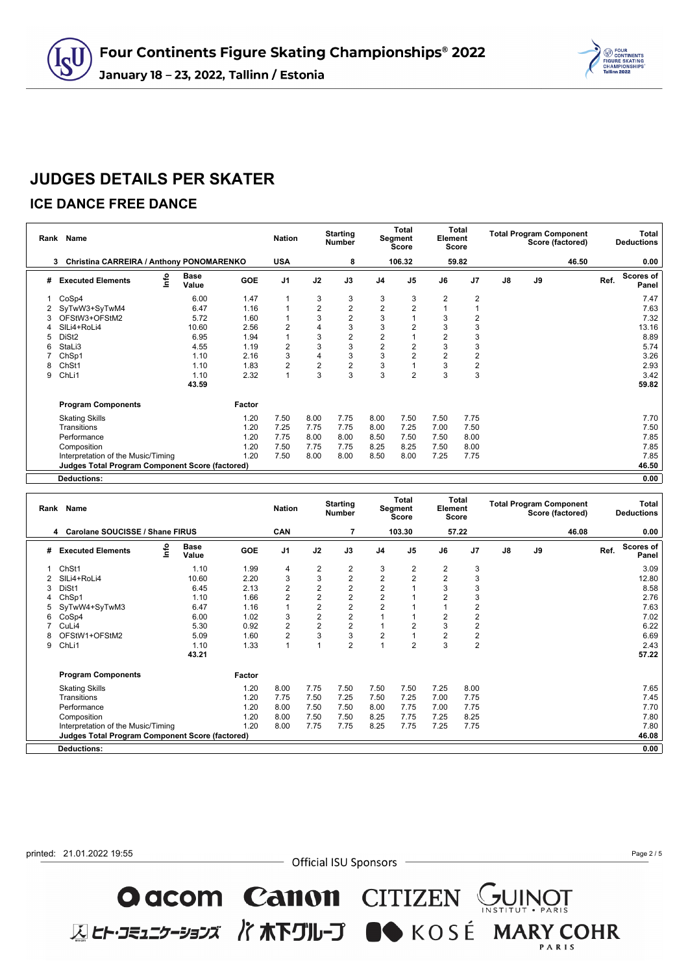

#### **ICE DANCE FREE DANCE**

cU

|   | Rank Name                                              |                      |            | <b>Nation</b>  |                | <b>Starting</b><br><b>Number</b> |                | <b>Total</b><br>Segment<br>Score | Element        | <b>Total</b><br><b>Score</b> |    |    | <b>Total Program Component</b><br>Score (factored) |      | Total<br><b>Deductions</b> |
|---|--------------------------------------------------------|----------------------|------------|----------------|----------------|----------------------------------|----------------|----------------------------------|----------------|------------------------------|----|----|----------------------------------------------------|------|----------------------------|
|   | Christina CARREIRA / Anthony PONOMARENKO<br>3          |                      |            | <b>USA</b>     |                | 8                                |                | 106.32                           |                | 59.82                        |    |    | 46.50                                              |      | 0.00                       |
| # | ١nfo<br><b>Executed Elements</b>                       | <b>Base</b><br>Value | <b>GOE</b> | J <sub>1</sub> | J2             | J3                               | J <sub>4</sub> | J <sub>5</sub>                   | J6             | J <sub>7</sub>               | J8 | J9 |                                                    | Ref. | Scores of<br>Panel         |
|   | CoSp4                                                  | 6.00                 | 1.47       |                | 3              | 3                                | 3              | 3                                | $\overline{2}$ | 2                            |    |    |                                                    |      | 7.47                       |
|   | SyTwW3+SyTwM4                                          | 6.47                 | 1.16       |                | $\overline{2}$ | $\overline{c}$                   | 2              | 2                                |                |                              |    |    |                                                    |      | 7.63                       |
| 3 | OFStW3+OFStM2                                          | 5.72                 | 1.60       |                | 3              | $\overline{2}$                   | 3              |                                  | 3              | $\overline{2}$               |    |    |                                                    |      | 7.32                       |
|   | SILi4+RoLi4                                            | 10.60                | 2.56       | $\overline{2}$ |                | 3                                | 3              | 2                                | 3              | 3                            |    |    |                                                    |      | 13.16                      |
| 5 | DiSt <sub>2</sub>                                      | 6.95                 | 1.94       |                | 3              | $\overline{2}$                   | $\overline{c}$ |                                  | $\overline{2}$ | 3                            |    |    |                                                    |      | 8.89                       |
| 6 | StaLi3                                                 | 4.55                 | 1.19       | $\overline{2}$ | 3              | 3                                | $\overline{2}$ | 2                                | 3              | 3                            |    |    |                                                    |      | 5.74                       |
|   | ChSp1                                                  | 1.10                 | 2.16       | 3              |                | 3                                | 3              | $\overline{2}$                   | $\overline{2}$ | $\overline{2}$               |    |    |                                                    |      | 3.26                       |
| 8 | ChSt1                                                  | 1.10                 | 1.83       | $\overline{2}$ | 2              | 2                                | 3              |                                  | 3              | $\overline{2}$               |    |    |                                                    |      | 2.93                       |
| 9 | ChLi1                                                  | 1.10                 | 2.32       | $\overline{1}$ | 3              | 3                                | 3              | $\overline{2}$                   | 3              | 3                            |    |    |                                                    |      | 3.42                       |
|   |                                                        | 43.59                |            |                |                |                                  |                |                                  |                |                              |    |    |                                                    |      | 59.82                      |
|   | <b>Program Components</b>                              |                      | Factor     |                |                |                                  |                |                                  |                |                              |    |    |                                                    |      |                            |
|   | <b>Skating Skills</b>                                  |                      | 1.20       | 7.50           | 8.00           | 7.75                             | 8.00           | 7.50                             | 7.50           | 7.75                         |    |    |                                                    |      | 7.70                       |
|   | Transitions                                            |                      | 1.20       | 7.25           | 7.75           | 7.75                             | 8.00           | 7.25                             | 7.00           | 7.50                         |    |    |                                                    |      | 7.50                       |
|   | Performance                                            |                      | 1.20       | 7.75           | 8.00           | 8.00                             | 8.50           | 7.50                             | 7.50           | 8.00                         |    |    |                                                    |      | 7.85                       |
|   | Composition                                            |                      | 1.20       | 7.50           | 7.75           | 7.75                             | 8.25           | 8.25                             | 7.50           | 8.00                         |    |    |                                                    |      | 7.85                       |
|   | Interpretation of the Music/Timing                     |                      | 1.20       | 7.50           | 8.00           | 8.00                             | 8.50           | 8.00                             | 7.25           | 7.75                         |    |    |                                                    |      | 7.85                       |
|   | <b>Judges Total Program Component Score (factored)</b> |                      |            |                |                |                                  |                |                                  |                |                              |    |    |                                                    |      | 46.50                      |
|   | <b>Deductions:</b>                                     |                      |            |                |                |                                  |                |                                  |                |                              |    |    |                                                    |      | 0.00                       |

| Rank | Name                                                   |                      |        | <b>Nation</b>  |                | <b>Starting</b><br><b>Number</b> |                         | <b>Total</b><br>Segment<br><b>Score</b> | Element        | <b>Total</b><br><b>Score</b> |    |    | <b>Total Program Component</b><br>Score (factored) |      | Total<br><b>Deductions</b> |
|------|--------------------------------------------------------|----------------------|--------|----------------|----------------|----------------------------------|-------------------------|-----------------------------------------|----------------|------------------------------|----|----|----------------------------------------------------|------|----------------------------|
|      | Carolane SOUCISSE / Shane FIRUS<br>4                   |                      |        | <b>CAN</b>     |                | $\overline{7}$                   |                         | 103.30                                  |                | 57.22                        |    |    | 46.08                                              |      | 0.00                       |
| #    | Info<br><b>Executed Elements</b>                       | <b>Base</b><br>Value | GOE    | J <sub>1</sub> | J2             | J3                               | J <sub>4</sub>          | J <sub>5</sub>                          | J6             | J <sub>7</sub>               | J8 | J9 |                                                    | Ref. | <b>Scores of</b><br>Panel  |
|      | ChSt1                                                  | 1.10                 | 1.99   | 4              | $\mathbf 2$    | 2                                | 3                       | 2                                       | $\overline{2}$ | 3                            |    |    |                                                    |      | 3.09                       |
|      | SILi4+RoLi4                                            | 10.60                | 2.20   | 3              | 3              | $\overline{\mathbf{c}}$          | $\overline{\mathbf{c}}$ | $\overline{2}$                          | $\overline{2}$ | 3                            |    |    |                                                    |      | 12.80                      |
|      | DiSt1                                                  | 6.45                 | 2.13   | $\overline{2}$ | $\overline{c}$ | $\overline{2}$                   | 2                       |                                         | 3              | 3                            |    |    |                                                    |      | 8.58                       |
|      | ChSp1                                                  | 1.10                 | 1.66   | $\overline{2}$ | $\overline{c}$ | $\overline{\mathbf{c}}$          | $\overline{\mathbf{c}}$ |                                         | $\overline{2}$ | 3                            |    |    |                                                    |      | 2.76                       |
|      | SyTwW4+SyTwM3                                          | 6.47                 | 1.16   | 1              | $\overline{2}$ | $\overline{2}$                   | $\overline{2}$          |                                         |                | 2                            |    |    |                                                    |      | 7.63                       |
|      | CoSp4                                                  | 6.00                 | 1.02   | 3              | $\overline{2}$ | $\overline{2}$                   |                         |                                         | $\overline{2}$ | $\overline{2}$               |    |    |                                                    |      | 7.02                       |
|      | CuLi4                                                  | 5.30                 | 0.92   | $\overline{2}$ | $\overline{2}$ | $\overline{2}$                   |                         | 2                                       | 3              | 2                            |    |    |                                                    |      | 6.22                       |
| 8    | OFStW1+OFStM2                                          | 5.09                 | 1.60   | $\overline{2}$ | 3              | 3                                | 2                       |                                         | $\overline{2}$ | 2                            |    |    |                                                    |      | 6.69                       |
| 9    | ChL <sub>i1</sub>                                      | 1.10                 | 1.33   | $\overline{1}$ |                | $\overline{2}$                   |                         | 2                                       | 3              | $\overline{2}$               |    |    |                                                    |      | 2.43                       |
|      |                                                        | 43.21                |        |                |                |                                  |                         |                                         |                |                              |    |    |                                                    |      | 57.22                      |
|      | <b>Program Components</b>                              |                      | Factor |                |                |                                  |                         |                                         |                |                              |    |    |                                                    |      |                            |
|      | <b>Skating Skills</b>                                  |                      | 1.20   | 8.00           | 7.75           | 7.50                             | 7.50                    | 7.50                                    | 7.25           | 8.00                         |    |    |                                                    |      | 7.65                       |
|      | Transitions                                            |                      | 1.20   | 7.75           | 7.50           | 7.25                             | 7.50                    | 7.25                                    | 7.00           | 7.75                         |    |    |                                                    |      | 7.45                       |
|      | Performance                                            |                      | 1.20   | 8.00           | 7.50           | 7.50                             | 8.00                    | 7.75                                    | 7.00           | 7.75                         |    |    |                                                    |      | 7.70                       |
|      | Composition                                            |                      | 1.20   | 8.00           | 7.50           | 7.50                             | 8.25                    | 7.75                                    | 7.25           | 8.25                         |    |    |                                                    |      | 7.80                       |
|      | Interpretation of the Music/Timing                     |                      | 1.20   | 8.00           | 7.75           | 7.75                             | 8.25                    | 7.75                                    | 7.25           | 7.75                         |    |    |                                                    |      | 7.80                       |
|      | <b>Judges Total Program Component Score (factored)</b> |                      |        |                |                |                                  |                         |                                         |                |                              |    |    |                                                    |      | 46.08                      |
|      | <b>Deductions:</b>                                     |                      |        |                |                |                                  |                         |                                         |                |                              |    |    |                                                    |      | 0.00                       |



- Official ISU Sponsors -

**O acom Canon** CITIZEN CUINOT

**区ヒト・コミュニケーションズ バホ下グループ ■●** KOSÉ MARY COHR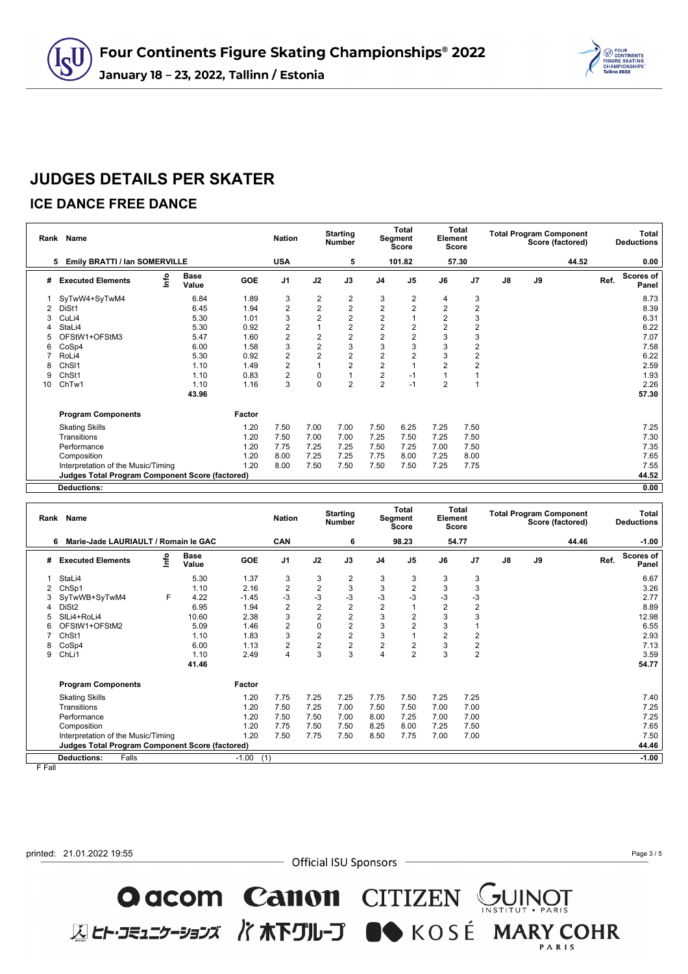

### **ICE DANCE FREE DANCE**

cU

|    | Rank Name                                       |                      |        | <b>Nation</b>  |                | <b>Starting</b><br><b>Number</b> |                | Total<br>Segment<br>Score | Element        | Total<br>Score |               |    | <b>Total Program Component</b><br>Score (factored) |      | Total<br><b>Deductions</b> |
|----|-------------------------------------------------|----------------------|--------|----------------|----------------|----------------------------------|----------------|---------------------------|----------------|----------------|---------------|----|----------------------------------------------------|------|----------------------------|
|    | Emily BRATTI / Ian SOMERVILLE<br>5              |                      |        | <b>USA</b>     |                | 5                                |                | 101.82                    |                | 57.30          |               |    | 44.52                                              |      | 0.00                       |
| #  | lnfo<br><b>Executed Elements</b>                | <b>Base</b><br>Value | GOE    | J <sub>1</sub> | J2             | J3                               | J <sub>4</sub> | J <sub>5</sub>            | J6             | J7             | $\mathsf{J}8$ | J9 |                                                    | Ref. | Scores of<br>Panel         |
|    | SyTwW4+SyTwM4                                   | 6.84                 | 1.89   | 3              | $\overline{2}$ | 2                                | 3              | 2                         | 4              | 3              |               |    |                                                    |      | 8.73                       |
| 2  | DiSt1                                           | 6.45                 | 1.94   | $\overline{2}$ | $\overline{2}$ | $\overline{2}$                   | 2              | $\overline{2}$            | $\overline{2}$ | $\overline{2}$ |               |    |                                                    |      | 8.39                       |
| 3  | CuLi4                                           | 5.30                 | 1.01   | 3              | $\overline{2}$ | $\overline{2}$                   | $\overline{2}$ |                           | $\overline{2}$ | 3              |               |    |                                                    |      | 6.31                       |
|    | StaLi4                                          | 5.30                 | 0.92   | $\overline{2}$ |                | $\overline{2}$                   | $\overline{2}$ | $\overline{2}$            | $\overline{2}$ | 2              |               |    |                                                    |      | 6.22                       |
| 5  | OFStW1+OFStM3                                   | 5.47                 | 1.60   | $\overline{2}$ | $\overline{2}$ | $\overline{2}$                   | 2              | $\overline{2}$            | 3              | 3              |               |    |                                                    |      | 7.07                       |
| 6  | CoSp4                                           | 6.00                 | 1.58   | 3              | $\overline{2}$ | 3                                | 3              | 3                         | 3              | 2              |               |    |                                                    |      | 7.58                       |
|    | RoLi4                                           | 5.30                 | 0.92   | $\overline{2}$ | $\overline{2}$ | $\overline{2}$                   | 2              | $\overline{2}$            | 3              | 2              |               |    |                                                    |      | 6.22                       |
| 8  | ChSI1                                           | 1.10                 | 1.49   | $\overline{2}$ |                | $\overline{2}$                   | 2              |                           | $\overline{2}$ | 2              |               |    |                                                    |      | 2.59                       |
| 9  | ChSt1                                           | 1.10                 | 0.83   | $\overline{2}$ | 0              |                                  | $\overline{2}$ | -1                        |                |                |               |    |                                                    |      | 1.93                       |
| 10 | ChTw1                                           | 1.10                 | 1.16   | 3              | 0              | $\overline{2}$                   | $\overline{2}$ | $-1$                      | $\overline{2}$ |                |               |    |                                                    |      | 2.26                       |
|    |                                                 | 43.96                |        |                |                |                                  |                |                           |                |                |               |    |                                                    |      | 57.30                      |
|    | <b>Program Components</b>                       |                      | Factor |                |                |                                  |                |                           |                |                |               |    |                                                    |      |                            |
|    | <b>Skating Skills</b>                           |                      | 1.20   | 7.50           | 7.00           | 7.00                             | 7.50           | 6.25                      | 7.25           | 7.50           |               |    |                                                    |      | 7.25                       |
|    | Transitions                                     |                      | 1.20   | 7.50           | 7.00           | 7.00                             | 7.25           | 7.50                      | 7.25           | 7.50           |               |    |                                                    |      | 7.30                       |
|    | Performance                                     |                      | 1.20   | 7.75           | 7.25           | 7.25                             | 7.50           | 7.25                      | 7.00           | 7.50           |               |    |                                                    |      | 7.35                       |
|    | Composition                                     |                      | 1.20   | 8.00           | 7.25           | 7.25                             | 7.75           | 8.00                      | 7.25           | 8.00           |               |    |                                                    |      | 7.65                       |
|    | Interpretation of the Music/Timing              |                      | 1.20   | 8.00           | 7.50           | 7.50                             | 7.50           | 7.50                      | 7.25           | 7.75           |               |    |                                                    |      | 7.55                       |
|    | Judges Total Program Component Score (factored) |                      |        |                |                |                                  |                |                           |                |                |               |    |                                                    |      | 44.52                      |
|    | <b>Deductions:</b>                              |                      |        |                |                |                                  |                |                           |                |                |               |    |                                                    |      | 0.00                       |

| Rank | Name                                                   |      |                      |         | <b>Nation</b>  |                | <b>Starting</b><br><b>Number</b> |                | Total<br>Segment<br><b>Score</b> | Element        | Total<br><b>Score</b> |    |    | <b>Total Program Component</b><br>Score (factored) |      | Total<br><b>Deductions</b> |
|------|--------------------------------------------------------|------|----------------------|---------|----------------|----------------|----------------------------------|----------------|----------------------------------|----------------|-----------------------|----|----|----------------------------------------------------|------|----------------------------|
|      | Marie-Jade LAURIAULT / Romain le GAC<br>6              |      |                      |         | <b>CAN</b>     |                | 6                                |                | 98.23                            |                | 54.77                 |    |    | 44.46                                              |      | $-1.00$                    |
| #    | <b>Executed Elements</b>                               | ١nfo | <b>Base</b><br>Value | GOE     | J <sub>1</sub> | J2             | J3                               | J <sub>4</sub> | J <sub>5</sub>                   | J6             | J <sub>7</sub>        | J8 | J9 |                                                    | Ref. | Scores of<br>Panel         |
|      | StaLi4                                                 |      | 5.30                 | 1.37    | 3              | 3              | 2                                | 3              | 3                                | 3              | 3                     |    |    |                                                    |      | 6.67                       |
|      | ChSp1                                                  |      | 1.10                 | 2.16    | $\overline{2}$ | $\mathbf 2$    | 3                                | 3              | 2                                | 3              | 3                     |    |    |                                                    |      | 3.26                       |
|      | SyTwWB+SyTwM4                                          | F    | 4.22                 | $-1.45$ | $-3$           | $-3$           | $-3$                             | $-3$           | $-3$                             | $-3$           | $-3$                  |    |    |                                                    |      | 2.77                       |
| 4    | DiSt <sub>2</sub>                                      |      | 6.95                 | 1.94    | $\overline{2}$ | $\overline{2}$ | $\overline{2}$                   | $\overline{2}$ |                                  | $\overline{2}$ | $\overline{c}$        |    |    |                                                    |      | 8.89                       |
|      | SILi4+RoLi4                                            |      | 10.60                | 2.38    | 3              | $\overline{2}$ | $\overline{2}$                   | 3              | $\overline{2}$                   | 3              | 3                     |    |    |                                                    |      | 12.98                      |
| 6    | OFStW1+OFStM2                                          |      | 5.09                 | 1.46    | $\overline{2}$ | $\mathbf 0$    | $\overline{2}$                   | 3              | $\overline{2}$                   | 3              |                       |    |    |                                                    |      | 6.55                       |
|      | ChSt1                                                  |      | 1.10                 | 1.83    | 3              | $\overline{2}$ | $\overline{2}$                   | 3              |                                  | $\overline{2}$ | 2                     |    |    |                                                    |      | 2.93                       |
| 8    | CoSp4                                                  |      | 6.00                 | 1.13    | $\overline{2}$ | $\overline{2}$ | $\overline{\mathbf{c}}$          | $\overline{2}$ | $\overline{2}$                   | 3              | 2                     |    |    |                                                    |      | 7.13                       |
| 9    | ChLi1                                                  |      | 1.10                 | 2.49    | $\overline{4}$ | 3              | 3                                | 4              | $\overline{2}$                   | 3              | $\overline{2}$        |    |    |                                                    |      | 3.59                       |
|      |                                                        |      | 41.46                |         |                |                |                                  |                |                                  |                |                       |    |    |                                                    |      | 54.77                      |
|      | <b>Program Components</b>                              |      |                      | Factor  |                |                |                                  |                |                                  |                |                       |    |    |                                                    |      |                            |
|      | <b>Skating Skills</b>                                  |      |                      | 1.20    | 7.75           | 7.25           | 7.25                             | 7.75           | 7.50                             | 7.25           | 7.25                  |    |    |                                                    |      | 7.40                       |
|      | Transitions                                            |      |                      | 1.20    | 7.50           | 7.25           | 7.00                             | 7.50           | 7.50                             | 7.00           | 7.00                  |    |    |                                                    |      | 7.25                       |
|      | Performance                                            |      |                      | 1.20    | 7.50           | 7.50           | 7.00                             | 8.00           | 7.25                             | 7.00           | 7.00                  |    |    |                                                    |      | 7.25                       |
|      | Composition                                            |      |                      | 1.20    | 7.75           | 7.50           | 7.50                             | 8.25           | 8.00                             | 7.25           | 7.50                  |    |    |                                                    |      | 7.65                       |
|      | Interpretation of the Music/Timing                     |      |                      | 1.20    | 7.50           | 7.75           | 7.50                             | 8.50           | 7.75                             | 7.00           | 7.00                  |    |    |                                                    |      | 7.50                       |
|      | <b>Judges Total Program Component Score (factored)</b> |      |                      |         |                |                |                                  |                |                                  |                |                       |    |    |                                                    |      | 44.46                      |
|      | <b>Deductions:</b><br>Falls                            |      |                      | $-1.00$ | (1)            |                |                                  |                |                                  |                |                       |    |    |                                                    |      | $-1.00$                    |

F Fall

printed: 21.01.2022 19:55

- Official ISU Sponsors -

O acom Canon CITIZEN SUINOT

**区ヒト・コミュニケーションズ バホ下グループ ■◆** KOSÉ MARY COHR

Page 3 / 5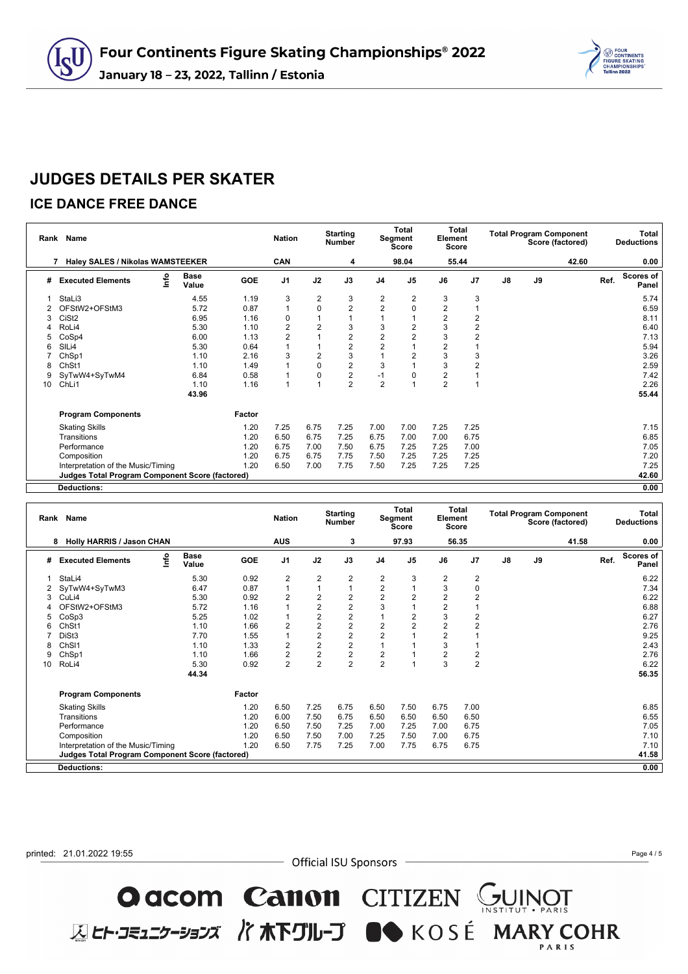

### **ICE DANCE FREE DANCE**

 $\overline{\mathsf{d}}$ 

|    | Rank Name                                              |                      |        | <b>Nation</b>  |                | <b>Starting</b><br><b>Number</b> |                | <b>Total</b><br>Segment<br>Score | Element        | <b>Total</b><br>Score |               |    | <b>Total Program Component</b><br>Score (factored) |      | Total<br><b>Deductions</b> |
|----|--------------------------------------------------------|----------------------|--------|----------------|----------------|----------------------------------|----------------|----------------------------------|----------------|-----------------------|---------------|----|----------------------------------------------------|------|----------------------------|
|    | <b>Haley SALES / Nikolas WAMSTEEKER</b>                |                      |        | CAN            |                | 4                                |                | 98.04                            |                | 55.44                 |               |    | 42.60                                              |      | 0.00                       |
| #  | lnfo<br><b>Executed Elements</b>                       | <b>Base</b><br>Value | GOE    | J <sub>1</sub> | J2             | J3                               | J <sub>4</sub> | J <sub>5</sub>                   | J6             | J7                    | $\mathsf{J}8$ | J9 |                                                    | Ref. | Scores of<br>Panel         |
|    | StaLi3                                                 | 4.55                 | 1.19   | 3              | 2              | 3                                | 2              | 2                                | 3              | 3                     |               |    |                                                    |      | 5.74                       |
|    | OFStW2+OFStM3                                          | 5.72                 | 0.87   | $\overline{1}$ | $\mathbf 0$    | $\overline{2}$                   | $\overline{2}$ | $\Omega$                         | $\overline{2}$ |                       |               |    |                                                    |      | 6.59                       |
| 3  | CiSt <sub>2</sub>                                      | 6.95                 | 1.16   | 0              |                |                                  |                |                                  | $\overline{2}$ | $\overline{2}$        |               |    |                                                    |      | 8.11                       |
|    | RoLi4                                                  | 5.30                 | 1.10   | $\overline{2}$ | 2              | 3                                | 3              | 2                                | 3              | $\overline{2}$        |               |    |                                                    |      | 6.40                       |
| 5  | CoSp4                                                  | 6.00                 | 1.13   | $\overline{2}$ |                | $\overline{2}$                   | $\overline{2}$ | $\overline{2}$                   | 3              | $\overline{2}$        |               |    |                                                    |      | 7.13                       |
| 6  | SILi4                                                  | 5.30                 | 0.64   |                |                | $\overline{2}$                   | $\overline{2}$ |                                  | 2              |                       |               |    |                                                    |      | 5.94                       |
|    | ChSp1                                                  | 1.10                 | 2.16   | 3              | $\overline{2}$ | 3                                |                | $\overline{2}$                   | 3              | 3                     |               |    |                                                    |      | 3.26                       |
| 8  | ChSt1                                                  | 1.10                 | 1.49   |                | 0              | $\overline{2}$                   | 3              |                                  | 3              | $\overline{2}$        |               |    |                                                    |      | 2.59                       |
| 9  | SyTwW4+SyTwM4                                          | 6.84                 | 0.58   |                | 0              | $\overline{2}$                   | $-1$           | 0                                | 2              |                       |               |    |                                                    |      | 7.42                       |
| 10 | ChLi1                                                  | 1.10                 | 1.16   | 1              |                | $\overline{2}$                   | 2              |                                  | $\overline{2}$ |                       |               |    |                                                    |      | 2.26                       |
|    |                                                        | 43.96                |        |                |                |                                  |                |                                  |                |                       |               |    |                                                    |      | 55.44                      |
|    | <b>Program Components</b>                              |                      | Factor |                |                |                                  |                |                                  |                |                       |               |    |                                                    |      |                            |
|    | <b>Skating Skills</b>                                  |                      | 1.20   | 7.25           | 6.75           | 7.25                             | 7.00           | 7.00                             | 7.25           | 7.25                  |               |    |                                                    |      | 7.15                       |
|    | Transitions                                            |                      | 1.20   | 6.50           | 6.75           | 7.25                             | 6.75           | 7.00                             | 7.00           | 6.75                  |               |    |                                                    |      | 6.85                       |
|    | Performance                                            |                      | 1.20   | 6.75           | 7.00           | 7.50                             | 6.75           | 7.25                             | 7.25           | 7.00                  |               |    |                                                    |      | 7.05                       |
|    | Composition                                            |                      | 1.20   | 6.75           | 6.75           | 7.75                             | 7.50           | 7.25                             | 7.25           | 7.25                  |               |    |                                                    |      | 7.20                       |
|    | Interpretation of the Music/Timing                     |                      | 1.20   | 6.50           | 7.00           | 7.75                             | 7.50           | 7.25                             | 7.25           | 7.25                  |               |    |                                                    |      | 7.25                       |
|    | <b>Judges Total Program Component Score (factored)</b> |                      |        |                |                |                                  |                |                                  |                |                       |               |    |                                                    |      | 42.60                      |
|    | <b>Deductions:</b>                                     |                      |        |                |                |                                  |                |                                  |                |                       |               |    |                                                    |      | 0.00                       |

| Rank | Name                                                   |                      |            | <b>Nation</b>           |                         | <b>Starting</b><br><b>Number</b> |                         | <b>Total</b><br>Segment<br>Score | Element        | <b>Total</b><br><b>Score</b> |               | <b>Total Program Component</b> | Score (factored) |      | Total<br><b>Deductions</b> |
|------|--------------------------------------------------------|----------------------|------------|-------------------------|-------------------------|----------------------------------|-------------------------|----------------------------------|----------------|------------------------------|---------------|--------------------------------|------------------|------|----------------------------|
|      | <b>Holly HARRIS / Jason CHAN</b><br>8                  |                      |            | <b>AUS</b>              |                         | 3                                |                         | 97.93                            |                | 56.35                        |               |                                | 41.58            |      | 0.00                       |
| #    | ۴o<br><b>Executed Elements</b>                         | <b>Base</b><br>Value | <b>GOE</b> | J1                      | J2                      | J3                               | J <sub>4</sub>          | J <sub>5</sub>                   | J6             | J7                           | $\mathsf{J}8$ | J9                             |                  | Ref. | Scores of<br>Panel         |
|      | StaLi4                                                 | 5.30                 | 0.92       | $\overline{\mathbf{c}}$ | $\overline{c}$          | $\overline{c}$                   | 2                       | 3                                | $\overline{2}$ | 2                            |               |                                |                  |      | 6.22                       |
|      | SyTwW4+SyTwM3                                          | 6.47                 | 0.87       | 1                       | $\overline{1}$          | $\mathbf{1}$                     | $\overline{\mathbf{c}}$ |                                  | 3              | 0                            |               |                                |                  |      | 7.34                       |
|      | CuLi4                                                  | 5.30                 | 0.92       | 2                       | $\overline{c}$          | $\overline{c}$                   | $\overline{2}$          | $\overline{2}$                   | $\overline{2}$ | 2                            |               |                                |                  |      | 6.22                       |
|      | OFStW2+OFStM3                                          | 5.72                 | 1.16       |                         | $\overline{2}$          | $\overline{2}$                   | 3                       |                                  | $\overline{2}$ |                              |               |                                |                  |      | 6.88                       |
| ٠h   | CoSp3                                                  | 5.25                 | 1.02       | 1                       | $\overline{\mathbf{c}}$ | $\overline{c}$                   |                         | $\overline{2}$                   | 3              | 2                            |               |                                |                  |      | 6.27                       |
|      | ChSt1                                                  | 1.10                 | 1.66       | $\overline{2}$          | $\overline{2}$          | $\overline{2}$                   | $\overline{2}$          | $\overline{2}$                   | $\overline{2}$ | 2                            |               |                                |                  |      | 2.76                       |
|      | DiSt3                                                  | 7.70                 | 1.55       | 1                       | $\overline{\mathbf{c}}$ | $\overline{2}$                   | $\overline{c}$          |                                  | $\overline{2}$ |                              |               |                                |                  |      | 9.25                       |
|      | ChSI1                                                  | 1.10                 | 1.33       | 2                       | $\frac{2}{2}$           | $\frac{2}{2}$                    |                         |                                  | 3              |                              |               |                                |                  |      | 2.43                       |
|      | ChSp1                                                  | 1.10                 | 1.66       | $\overline{2}$          |                         |                                  | $\overline{\mathbf{c}}$ |                                  | $\overline{2}$ | $\overline{\mathbf{c}}$      |               |                                |                  |      | 2.76                       |
| 10   | RoLi4                                                  | 5.30                 | 0.92       | $\overline{2}$          | $\overline{2}$          | $\overline{2}$                   | 2                       | и                                | 3              | $\overline{2}$               |               |                                |                  |      | 6.22                       |
|      |                                                        | 44.34                |            |                         |                         |                                  |                         |                                  |                |                              |               |                                |                  |      | 56.35                      |
|      | <b>Program Components</b>                              |                      | Factor     |                         |                         |                                  |                         |                                  |                |                              |               |                                |                  |      |                            |
|      | <b>Skating Skills</b>                                  |                      | 1.20       | 6.50                    | 7.25                    | 6.75                             | 6.50                    | 7.50                             | 6.75           | 7.00                         |               |                                |                  |      | 6.85                       |
|      | Transitions                                            |                      | 1.20       | 6.00                    | 7.50                    | 6.75                             | 6.50                    | 6.50                             | 6.50           | 6.50                         |               |                                |                  |      | 6.55                       |
|      | Performance                                            |                      | 1.20       | 6.50                    | 7.50                    | 7.25                             | 7.00                    | 7.25                             | 7.00           | 6.75                         |               |                                |                  |      | 7.05                       |
|      | Composition                                            |                      | 1.20       | 6.50                    | 7.50                    | 7.00                             | 7.25                    | 7.50                             | 7.00           | 6.75                         |               |                                |                  |      | 7.10                       |
|      | Interpretation of the Music/Timing                     |                      | 1.20       | 6.50                    | 7.75                    | 7.25                             | 7.00                    | 7.75                             | 6.75           | 6.75                         |               |                                |                  |      | 7.10                       |
|      | <b>Judges Total Program Component Score (factored)</b> |                      |            |                         |                         |                                  |                         |                                  |                |                              |               |                                |                  |      | 41.58                      |
|      | <b>Deductions:</b>                                     |                      |            |                         |                         |                                  |                         |                                  |                |                              |               |                                |                  |      | 0.00                       |

printed: 21.01.2022 19:55

- Official ISU Sponsors -

O acom Canon CITIZEN SUINOT

**区ヒト・コミュニケーションズ バホ下グループ ■●** KOSÉ MARY COHR

Page 4 / 5